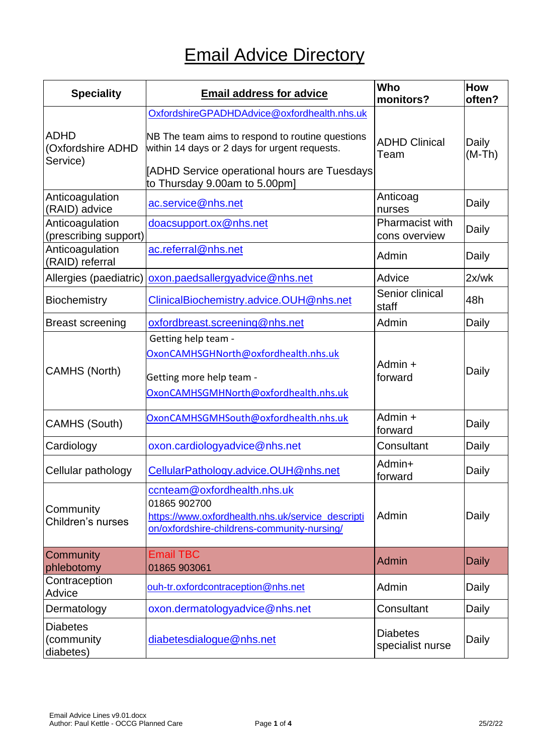| <b>Speciality</b>                            | <b>Email address for advice</b>                                                                                                                                                                                                   | Who<br>monitors?                        | How<br>often?     |
|----------------------------------------------|-----------------------------------------------------------------------------------------------------------------------------------------------------------------------------------------------------------------------------------|-----------------------------------------|-------------------|
| <b>ADHD</b><br>(Oxfordshire ADHD<br>Service) | OxfordshireGPADHDAdvice@oxfordhealth.nhs.uk<br>NB The team aims to respond to routine questions<br>within 14 days or 2 days for urgent requests.<br>[ADHD Service operational hours are Tuesdays<br>to Thursday 9.00am to 5.00pm] | <b>ADHD Clinical</b><br>Team            | Daily<br>$(M-Th)$ |
| Anticoagulation<br>(RAID) advice             | ac.service@nhs.net                                                                                                                                                                                                                | Anticoag<br>nurses                      | Daily             |
| Anticoagulation<br>(prescribing support)     | doacsupport.ox@nhs.net                                                                                                                                                                                                            | <b>Pharmacist with</b><br>cons overview | Daily             |
| Anticoagulation<br>(RAID) referral           | ac.referral@nhs.net                                                                                                                                                                                                               | Admin                                   | Daily             |
| Allergies (paediatric)                       | oxon.paedsallergyadvice@nhs.net                                                                                                                                                                                                   | Advice                                  | 2x/wk             |
| <b>Biochemistry</b>                          | ClinicalBiochemistry.advice.OUH@nhs.net                                                                                                                                                                                           | Senior clinical<br>staff                | 48h               |
| <b>Breast screening</b>                      | oxfordbreast.screening@nhs.net                                                                                                                                                                                                    | Admin                                   | Daily             |
| <b>CAMHS (North)</b>                         | Getting help team -<br>OxonCAMHSGHNorth@oxfordhealth.nhs.uk<br>Getting more help team -<br>OxonCAMHSGMHNorth@oxfordhealth.nhs.uk                                                                                                  | Admin +<br>forward                      | Daily             |
| <b>CAMHS (South)</b>                         | OxonCAMHSGMHSouth@oxfordhealth.nhs.uk                                                                                                                                                                                             | Admin +<br>forward                      | Daily             |
| Cardiology                                   | oxon.cardiologyadvice@nhs.net                                                                                                                                                                                                     | Consultant                              | Daily             |
| Cellular pathology                           | CellularPathology.advice.OUH@nhs.net                                                                                                                                                                                              | Admin+<br>forward                       | Daily             |
| Community<br>Children's nurses               | ccnteam@oxfordhealth.nhs.uk<br>01865 902700<br>https://www.oxfordhealth.nhs.uk/service_descripti<br>on/oxfordshire-childrens-community-nursing/                                                                                   | Admin                                   | Daily             |
| Community                                    | <b>Email TBC</b>                                                                                                                                                                                                                  | <b>Admin</b>                            | <b>Daily</b>      |
| phlebotomy<br>Contraception<br>Advice        | 01865 903061<br>ouh-tr.oxfordcontraception@nhs.net                                                                                                                                                                                | Admin                                   | Daily             |
| Dermatology                                  | oxon.dermatologyadvice@nhs.net                                                                                                                                                                                                    | Consultant                              | Daily             |
| <b>Diabetes</b><br>(community<br>diabetes)   | diabetesdialogue@nhs.net                                                                                                                                                                                                          | <b>Diabetes</b><br>specialist nurse     | Daily             |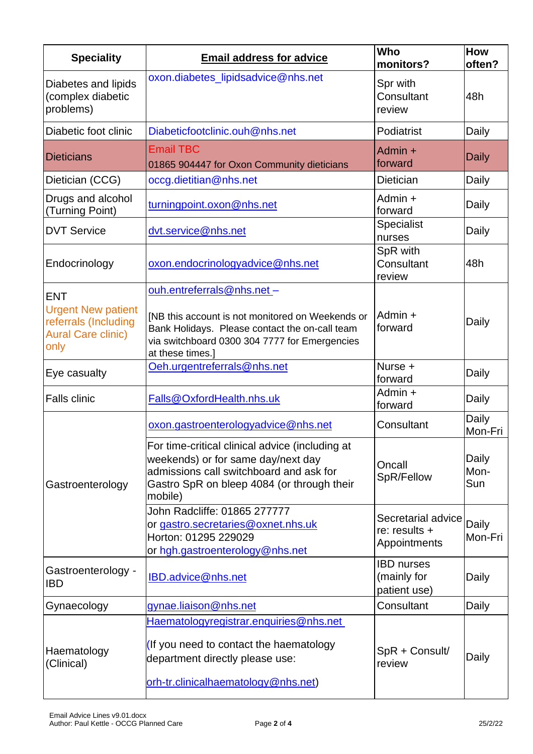| <b>Speciality</b>                                                                                    | <b>Email address for advice</b>                                                                                                                                                                      | Who<br>monitors?                                      | How<br>often?        |
|------------------------------------------------------------------------------------------------------|------------------------------------------------------------------------------------------------------------------------------------------------------------------------------------------------------|-------------------------------------------------------|----------------------|
| Diabetes and lipids<br>(complex diabetic<br>problems)                                                | oxon.diabetes_lipidsadvice@nhs.net                                                                                                                                                                   | Spr with<br>Consultant<br>review                      | 48h                  |
| Diabetic foot clinic                                                                                 | Diabeticfootclinic.ouh@nhs.net                                                                                                                                                                       | Podiatrist                                            | Daily                |
| <b>Dieticians</b>                                                                                    | <b>Email TBC</b><br>01865 904447 for Oxon Community dieticians                                                                                                                                       | Admin $+$<br>forward                                  | <b>Daily</b>         |
| Dietician (CCG)                                                                                      | occg.dietitian@nhs.net                                                                                                                                                                               | Dietician                                             | Daily                |
| Drugs and alcohol<br>(Turning Point)                                                                 | turningpoint.oxon@nhs.net                                                                                                                                                                            | Admin +<br>forward                                    | Daily                |
| <b>DVT Service</b>                                                                                   | dvt.service@nhs.net                                                                                                                                                                                  | Specialist<br>nurses                                  | Daily                |
| Endocrinology                                                                                        | oxon.endocrinologyadvice@nhs.net                                                                                                                                                                     | SpR with<br>Consultant<br>review                      | 48h                  |
| <b>ENT</b><br><b>Urgent New patient</b><br>referrals (Including<br><b>Aural Care clinic)</b><br>only | ouh.entreferrals@nhs.net-<br>[NB this account is not monitored on Weekends or<br>Bank Holidays. Please contact the on-call team<br>via switchboard 0300 304 7777 for Emergencies<br>at these times.] | Admin $+$<br>forward                                  | Daily                |
| Eye casualty                                                                                         | Oeh.urgentreferrals@nhs.net                                                                                                                                                                          | Nurse +<br>forward                                    | Daily                |
| <b>Falls clinic</b>                                                                                  | Falls@OxfordHealth.nhs.uk                                                                                                                                                                            | Admin +<br>forward                                    | Daily                |
| Gastroenterology                                                                                     | oxon.gastroenterologyadvice@nhs.net                                                                                                                                                                  | Consultant                                            | Daily<br>Mon-Fri     |
|                                                                                                      | For time-critical clinical advice (including at<br>weekends) or for same day/next day<br>admissions call switchboard and ask for<br>Gastro SpR on bleep 4084 (or through their<br>mobile)            | Oncall<br>SpR/Fellow                                  | Daily<br>Mon-<br>Sun |
|                                                                                                      | John Radcliffe: 01865 277777<br>or gastro.secretaries@oxnet.nhs.uk<br>Horton: 01295 229029<br>or hgh.gastroenterology@nhs.net                                                                        | Secretarial advice<br>re: $results +$<br>Appointments | Daily<br>Mon-Fri     |
| Gastroenterology -<br><b>IBD</b>                                                                     | IBD.advice@nhs.net                                                                                                                                                                                   | <b>IBD</b> nurses<br>(mainly for<br>patient use)      | Daily                |
| Gynaecology                                                                                          | gynae.liaison@nhs.net                                                                                                                                                                                | Consultant                                            | Daily                |
| Haematology<br>(Clinical)                                                                            | Haematologyregistrar.enquiries@nhs.net<br>If you need to contact the haematology<br>department directly please use:<br>orh-tr.clinicalhaematology@nhs.net)                                           | SpR + Consult/<br>review                              | Daily                |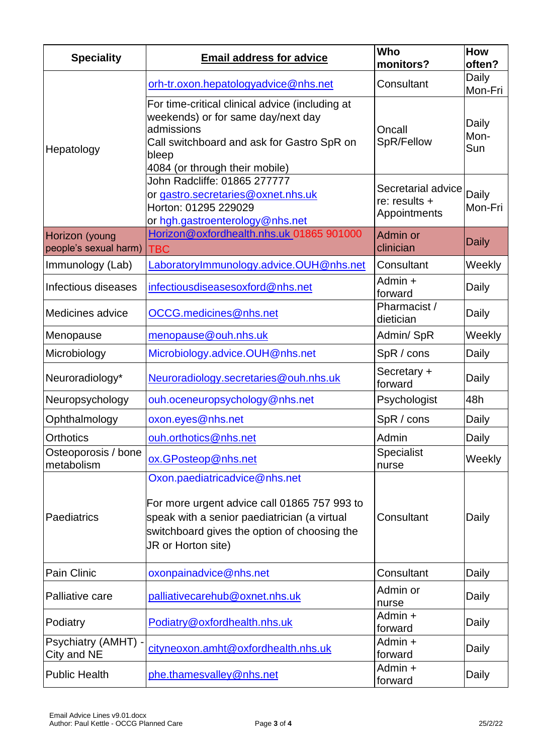| <b>Speciality</b>                       | <b>Email address for advice</b>                                                                                                                                                                     | Who<br>monitors?                                    | <b>How</b><br>often? |
|-----------------------------------------|-----------------------------------------------------------------------------------------------------------------------------------------------------------------------------------------------------|-----------------------------------------------------|----------------------|
|                                         | orh-tr.oxon.hepatologyadvice@nhs.net                                                                                                                                                                | Consultant                                          | Daily<br>Mon-Fri     |
| Hepatology                              | For time-critical clinical advice (including at<br>weekends) or for same day/next day<br>admissions<br>Call switchboard and ask for Gastro SpR on<br>bleep<br>4084 (or through their mobile)        | Oncall<br>SpR/Fellow                                | Daily<br>Mon-<br>Sun |
|                                         | John Radcliffe: 01865 277777<br>or gastro.secretaries@oxnet.nhs.uk<br>Horton: 01295 229029<br>or hgh.gastroenterology@nhs.net                                                                       | Secretarial advice<br>re: results +<br>Appointments | Daily<br>Mon-Fri     |
| Horizon (young<br>people's sexual harm) | Horizon@oxfordhealth.nhs.uk 01865 901000<br><b>TBC</b>                                                                                                                                              | Admin or<br>clinician                               | <b>Daily</b>         |
| Immunology (Lab)                        | LaboratoryImmunology.advice.OUH@nhs.net                                                                                                                                                             | Consultant                                          | Weekly               |
| Infectious diseases                     | infectiousdiseasesoxford@nhs.net                                                                                                                                                                    | Admin +<br>forward                                  | Daily                |
| Medicines advice                        | OCCG.medicines@nhs.net                                                                                                                                                                              | Pharmacist /<br>dietician                           | Daily                |
| Menopause                               | menopause@ouh.nhs.uk                                                                                                                                                                                | Admin/SpR                                           | Weekly               |
| Microbiology                            | Microbiology.advice.OUH@nhs.net                                                                                                                                                                     | SpR / cons                                          | Daily                |
| Neuroradiology*                         | Neuroradiology.secretaries@ouh.nhs.uk                                                                                                                                                               | Secretary +<br>forward                              | Daily                |
| Neuropsychology                         | ouh.oceneuropsychology@nhs.net                                                                                                                                                                      | Psychologist                                        | 48h                  |
| Ophthalmology                           | oxon.eyes@nhs.net                                                                                                                                                                                   | SpR / cons                                          | Daily                |
| <b>Orthotics</b>                        | ouh.orthotics@nhs.net                                                                                                                                                                               | Admin                                               | Daily                |
| Osteoporosis / bone<br>metabolism       | ox.GPosteop@nhs.net                                                                                                                                                                                 | <b>Specialist</b><br>nurse                          | Weekly               |
| Paediatrics                             | Oxon.paediatricadvice@nhs.net<br>For more urgent advice call 01865 757 993 to<br>speak with a senior paediatrician (a virtual<br>switchboard gives the option of choosing the<br>JR or Horton site) | Consultant                                          | Daily                |
| Pain Clinic                             | oxonpainadvice@nhs.net                                                                                                                                                                              | Consultant                                          | Daily                |
| Palliative care                         | palliativecarehub@oxnet.nhs.uk                                                                                                                                                                      | Admin or<br>nurse                                   | Daily                |
| Podiatry                                | Podiatry@oxfordhealth.nhs.uk                                                                                                                                                                        | Admin +<br>forward                                  | Daily                |
| Psychiatry (AMHT) -<br>City and NE      | cityneoxon.amht@oxfordhealth.nhs.uk                                                                                                                                                                 | Admin +<br>forward                                  | Daily                |
| <b>Public Health</b>                    | phe.thamesvalley@nhs.net                                                                                                                                                                            | Admin +<br>forward                                  | Daily                |